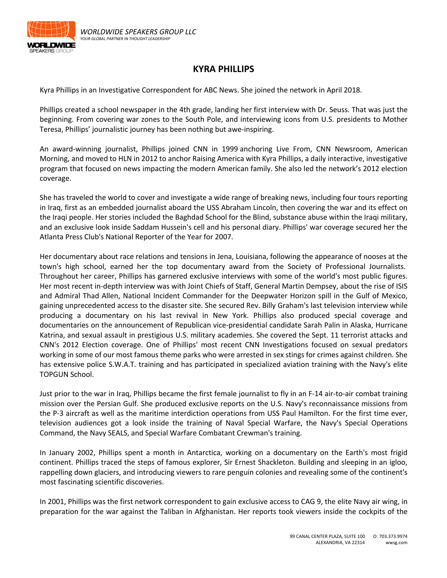

## **KYRA PHILLIPS**

Kyra Phillips in an Investigative Correspondent for ABC News. She joined the network in April 2018.

Phillips created a school newspaper in the 4th grade, landing her first interview with Dr. Seuss. That was just the beginning. From covering war zones to the South Pole, and interviewing icons from U.S. presidents to Mother Teresa, Phillips' journalistic journey has been nothing but awe-inspiring.

An award-winning journalist, Phillips joined CNN in 1999 anchoring Live From, CNN Newsroom, American Morning, and moved to HLN in 2012 to anchor Raising America with Kyra Phillips, a daily interactive, investigative program that focused on news impacting the modern American family. She also led the network's 2012 election coverage.

She has traveled the world to cover and investigate a wide range of breaking news, including four tours reporting in Iraq, first as an embedded journalist aboard the USS Abraham Lincoln, then covering the war and its effect on the Iraqi people. Her stories included the Baghdad School for the Blind, substance abuse within the Iraqi military, and an exclusive look inside Saddam Hussein's cell and his personal diary. Phillips' war coverage secured her the Atlanta Press Club's National Reporter of the Year for 2007.

Her documentary about race relations and tensions in Jena, Louisiana, following the appearance of nooses at the town's high school, earned her the top documentary award from the Society of Professional Journalists. Throughout her career, Phillips has garnered exclusive interviews with some of the world's most public figures. Her most recent in-depth interview was with Joint Chiefs of Staff, General Martin Dempsey, about the rise of ISIS and Admiral Thad Allen, National Incident Commander for the Deepwater Horizon spill in the Gulf of Mexico, gaining unprecedented access to the disaster site. She secured Rev. Billy Graham's last television interview while producing a documentary on his last revival in New York. Phillips also produced special coverage and documentaries on the announcement of Republican vice-presidential candidate Sarah Palin in Alaska, Hurricane Katrina, and sexual assault in prestigious U.S. military academies. She covered the Sept. 11 terrorist attacks and CNN's 2012 Election coverage. One of Phillips' most recent CNN Investigations focused on sexual predators working in some of our most famous theme parks who were arrested in sex stings for crimes against children. She has extensive police S.W.A.T. training and has participated in specialized aviation training with the Navy's elite TOPGUN School.

Just prior to the war in Iraq, Phillips became the first female journalist to fly in an F-14 air-to-air combat training mission over the Persian Gulf. She produced exclusive reports on the U.S. Navy's reconnaissance missions from the P-3 aircraft as well as the maritime interdiction operations from USS Paul Hamilton. For the first time ever, television audiences got a look inside the training of Naval Special Warfare, the Navy's Special Operations Command, the Navy SEALS, and Special Warfare Combatant Crewman's training.

In January 2002, Phillips spent a month in Antarctica, working on a documentary on the Earth's most frigid continent. Phillips traced the steps of famous explorer, Sir Ernest Shackleton. Building and sleeping in an igloo, rappelling down glaciers, and introducing viewers to rare penguin colonies and revealing some of the continent's most fascinating scientific discoveries.

In 2001, Phillips was the first network correspondent to gain exclusive access to CAG 9, the elite Navy air wing, in preparation for the war against the Taliban in Afghanistan. Her reports took viewers inside the cockpits of the